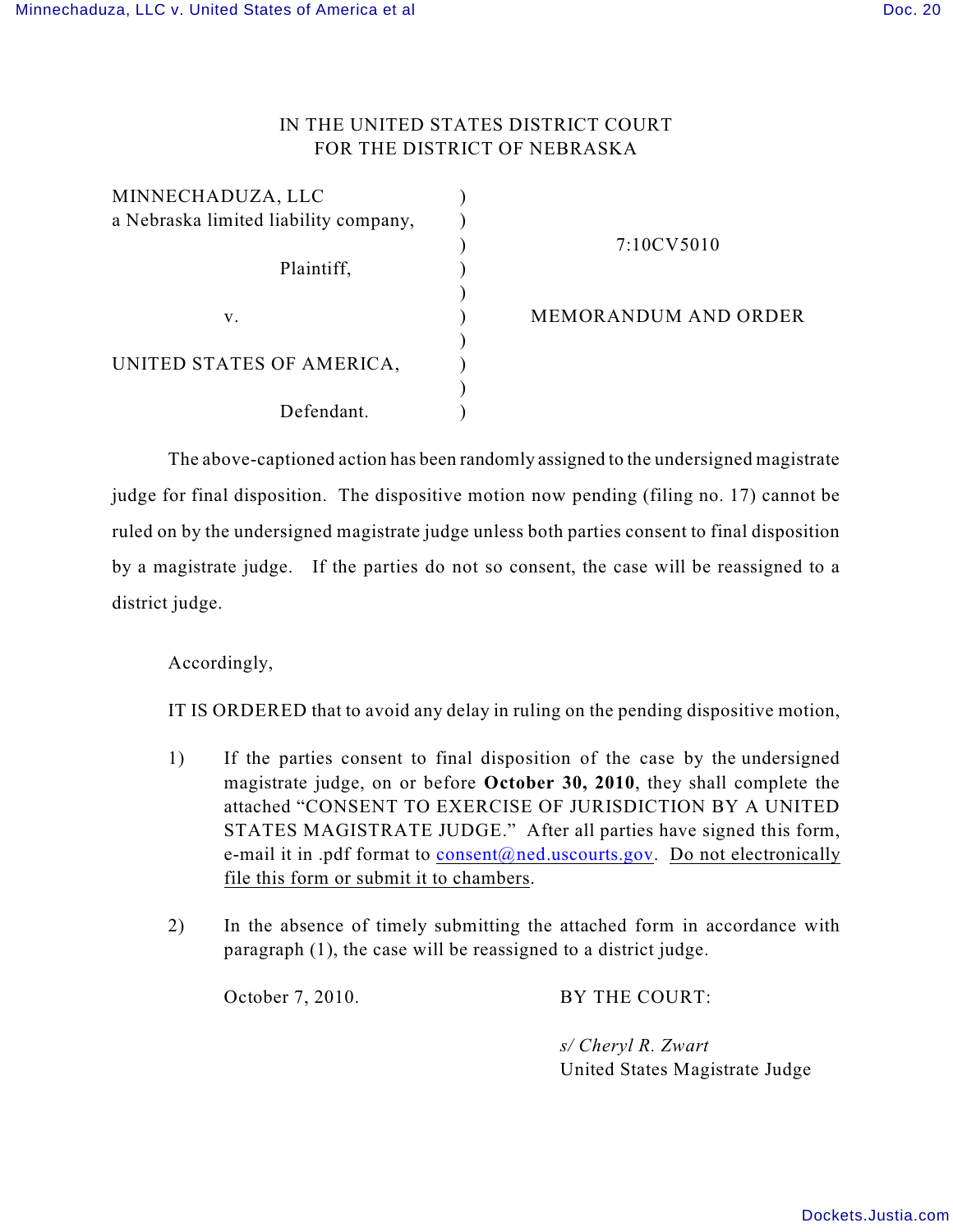# IN THE UNITED STATES DISTRICT COURT FOR THE DISTRICT OF NEBRASKA

| MINNECHADUZA, LLC                     |  |
|---------------------------------------|--|
| a Nebraska limited liability company, |  |
|                                       |  |
| Plaintiff,                            |  |
|                                       |  |
| V.                                    |  |
|                                       |  |
| UNITED STATES OF AMERICA,             |  |
|                                       |  |
| Defendant.                            |  |

7:10CV5010

MEMORANDUM AND ORDER

The above-captioned action has been randomly assigned to the undersigned magistrate judge for final disposition. The dispositive motion now pending (filing no. 17) cannot be ruled on by the undersigned magistrate judge unless both parties consent to final disposition by a magistrate judge. If the parties do not so consent, the case will be reassigned to a district judge.

Accordingly,

IT IS ORDERED that to avoid any delay in ruling on the pending dispositive motion,

- 1) If the parties consent to final disposition of the case by the undersigned magistrate judge, on or before **October 30, 2010**, they shall complete the attached "CONSENT TO EXERCISE OF JURISDICTION BY A UNITED STATES MAGISTRATE JUDGE." After all parties have signed this form, e-mail it in .pdf format to [consent@ned.uscourts.gov](mailto:consent@ned.uscourts.gov). Do not electronically file this form or submit it to chambers.
- 2) In the absence of timely submitting the attached form in accordance with paragraph (1), the case will be reassigned to a district judge.

October 7, 2010. BY THE COURT:

*s/ Cheryl R. Zwart*  United States Magistrate Judge